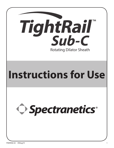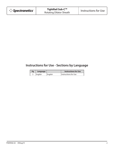| Spectranetics <sup>®</sup> | TightRail Sub-C™<br><b>Rotating Dilator Sheath</b> | Instructions for Use |
|----------------------------|----------------------------------------------------|----------------------|
|----------------------------|----------------------------------------------------|----------------------|

# **Instructions for Use - Sections by Language**

| Pq | Language | <b>Instructions for Use</b> |                      |
|----|----------|-----------------------------|----------------------|
|    | English  | English                     | Instructions for Use |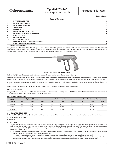

#### **English / English**

#### **Table of Contents**

| 1.  |  |
|-----|--|
| 2.  |  |
| 3.  |  |
| 4.  |  |
| 5.  |  |
| 6.  |  |
| 7.  |  |
| 8.  |  |
| 9.  |  |
| 10. |  |
| 11. |  |
| 12. |  |

#### **1. DEVICE DESCRIPTION**

The TightRail Sub-C Rotating Dilator Sheath (TightRail Sub-C sheath) is an intra-operative device designed to facilitate the percutaneous removal of cardiac leads from the vasculature. TightRail Sub-C sheath is used in conjunction with conventional lead extraction tools (e.g., locking stylets, outer sheaths). The components of the Spectranetics TightRail Sub-C sheath include an inner and outer shaft and a handheld drive mechanism (Figure 1.).



#### **Figure 1. TightRail Sub-C Sheath Device**

The inner shaft (drive shaft) is able to rotate within the outer shaft to activate the rotary dilating feature at the tip.

The stationary outer shaft is contained within a polymer jacket. The handheld drive mechanism attached to the proximal end of the device is used to rotate the inner shaft. Rotation of the distal cam of the inner shaft causes dilation of the tissue and fibrous attachments surrounding the lead facilitating the removal of said lead.

An outer sheath is provided that can be used in conjunction with the device to support the device shaft facilitating additional tissue dilation effect and serve as a conduit for re-implant.

The package includes one 9F, one 11F, or one 13F TightRail Sub-C sheath and one compatible support outer sheath.

#### **Use with other devices**

The TightRail Sub-C Sheath may be used in conjunction with the Spectranetics Lead Locking Device (LLD™). Follow the "Instructions for Use" for other devices used. Table 1 provides TightRail Sub-C Sheath models and sizing specifications.

#### **Table 1. Model Specifications**

| <b>Model</b><br><b>Number</b> | <b>Tip Inner Diameter</b> |       |      | <b>Device Outer Diameter</b> |       |      | <b>Outer Sheath Inner Diameter</b> |       |      |
|-------------------------------|---------------------------|-------|------|------------------------------|-------|------|------------------------------------|-------|------|
|                               | (F)                       | (in.) | (mm) | (F)                          | (in.) | (mm) | (F)                                | (in.) | (mm) |
| 560-009                       | 9.1                       | 0.119 | 3.0  | 14.4                         | 0.187 | 4.8  | 15.9                               | 0.207 | 5.2  |
| 560-011                       | 11.1                      | 0.145 | 3.6  | 16.4                         | 0.213 | 5.5  | 17.9                               | 0.233 | 5.9  |
| 560-013                       | 13.1                      | 0.171 | 4.3  | 18.4                         | 0.239 | 6.7  | 19.9                               | 0.259 | 6.5  |

#### **2. INDICATIONS FOR USE**

The TightRail Sub-C Rotating Dilator Sheath is intended for use in patients requiring the percutaneous dilation of tissue to facilitate removal of cardiac leads.

#### **3. CONTRAINDICATIONS**

### None known.

#### **4. WARNINGS**

- Lead removal devices should be used at institutions with cardiothoracic surgical capabilities by physicians knowledgeable in the techniques and devices for lead removal. Complication prevention and management protocols should be in place and routinely practiced. The recommendations for lead management of the Heart Rhythm Society<sup>1</sup> (HRS) and European Heart Rhythm Association<sup>2</sup> (EHRA) are highly recommended for best results.
- When using a locking stylet:
	- Do not abandon a lead in a patient with a locking stylet still in place inside the lead. Severe vessel or endocardial wall damage may result from the stiffened lead or from fracture or migration of the abandoned stylet wire.
	- Do not apply weighted traction to an inserted locking stylet as myocardial avulsion, hypotension, or venous wall tearing may result
	- Be aware that leads with a J-shape retention wire occupying their inner lumen (rather than being outside of the coil) may not be compatible with the locking stylet. Insertion of the locking stylet into such a lead may result in protrusion and possible migration of the J-shape retention wire.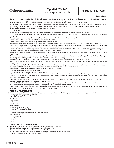

## Instructions for Use

Rotating Dilator Sheath

#### **English / English**

- Do not insert more than one TightRail Sub-C sheath or outer sheath into a vein at a time. Do not insert more than one lead into a TightRail Sub-C device at a time. Severe vessel damage, including venous wall laceration requiring surgical repair may occur.
- Maintain appropriate traction on the lead being extracted during advancement of the TightRail Sub-C sheath or outer sheath.
- The TightRail Sub-C sheath should only be used to minimally enter the vessel. Do not attempt to enter the SVC structure or attempt to navigate the TightRail Sub-C sheath into bends beyond the convergence of the innominate and brachiocephalic veins as vessel wall or cardiac lead damage may occur.
- Excessive advancement force may result in device or vessel wall damage.

#### **5. PRECAUTIONS**

- Thoroughly review the package insert for conventional lead extraction tools before attempting to use the TightRail Sub-C sheath.
- Do not re-sterilize or reuse this device, as these actions can compromise device performance or increase the risk of cross-contamination due to inappropriate reprocessing.
- Reuse of this single use device could lead to serious patient injury or death and voids manufacturer warranties.
- Do not use the TightRail Sub-C sheath if the tamper-evident seal is broken.
- Do not use the TightRail Sub-C sheath if any component has been damaged.
- Prior to the procedure, evaluate the physical dimensions of the lead in relation to the specifications of the dilator sheath to determine compatibility.
- Due to rapidly evolving lead technology, this device may not be suitable for dilation of tissue around all types of leads. If there are questions or concerns regarding compatibility of this device with particular leads, contact the lead manufacturer.
- Do not pull on the lead because it may stretch, distort, or break, making subsequent removal more difficult. Damage to a lead may prevent passage of a lead locking device through the lumen and/or make dilation of scar tissue more difficult.
- When the TightRail Sub-C sheath is in the body, it should be manipulated only under fluoroscopic observation with radiographic equipment that provides high quality images.
- As in all extraction procedures using sheaths, use proper sheath technique. Maintain sturdy traction and a stable "rail" position with the lead while keeping coaxial alignment of the TightRail Sub-C sheath to minimize the risk of vessel wall damage.
- When advancing an outer sheath around a bend, keep the point of the sheath's beveled tip oriented toward the inside of the bend.
- Advancing the TightRail Sub-C sheath through heavily calcified tissue may require more activations of the dilating mechanism than through fibrous scar overgrowth.
- If unable to advance the TightRail Sub-C sheath despite repeated activations of the dilating mechanism, consider an alternate approach. Be prepared to upsize to a larger TightRail Sub-C sheath, move to another lead, try a femoral approach or consider an open procedure.
- Excessive advancement force may cause temporary binding of the device mechanism.
- If the lead breaks, evaluate fragment for retrieval.
- If hypotension develops, rapidly evaluate; treat as appropriate.
- When removing a chronic pacing lead, be aware that if it is freed spontaneously during the extraction procedure, the lead tip may become trapped in the upper vasculature. Dilator sheaths, advanced at least to the innominate vein, are often necessary to extract the lead tip through the scar tissue at the site of venous entry, and to avoid a venotomy.
- If selectively removing leads with the intent to leave one or more chronic leads implanted intact, the non-targeted leads must be subsequently tested to ensure that they were not damaged or dislodged during the procedure.
- If the TightRail Sub-C sheath is removed from the body for any reason, thoroughly flush the device shaft, inner lumen and tip with saline to remove particles and prevent blood from sticking before reinserting the TightRail Sub-C sheath back into the patient.
- If the TightRail Sub-C sheath becomes kinked or damaged during use as evidenced by fluoroscopy, it is recommended to discontinue use of the device. Weigh the relative risks and benefits of device removal versus continued use.

#### **6. POTENTIAL ADVERSE EVENTS**

Potential adverse events related to the procedure of intravascular removal of leads include (listed generally in order of increasing potential effect):

- Dislodging or damaging non-targeted lead
- Chest wall hematoma
- **Thrombosis**
- **Arrhythmias**
- **Bacteremia**
- **Hypotension**
- Pneumothorax
- Migrating fragment from lead
- Migration of vegetation from lead
- Pulmonary embolism
- Laceration or tearing of vascular structures or the myocardium
- **Hemopericardium**
- Cardiac tamponade
- Hemothorax
- **Stroke**
- Death

#### **7. INDIVIDUALIZATION OF TREATMENT**

Weigh the relative risks and benefits of intravascular lead removal procedures in cases when:

- Dual coil ICD leads are being removed with proximal coil located in SVC
- The lead to be removed has a sharp bend or evidence of fracture
- The lead shows evidence of insulation disintegration raising the concern of pulmonary embolism
- Vegetations are attached directly to the lead body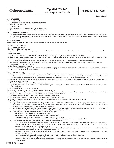

**English / English**

### **8. HOW SUPPLIED**

#### **8.1 Sterilization**

- For single use only. Not for re-sterilization or reprocessing.
- Ethylene Oxide Sterilized
- Non-pyrogenic
- Sterility guaranteed if package is unopened and undamaged.
- Store device in a dry cool place (below 60° C / 140° F) until use.

#### **8.2 Inspection Prior to Use**

• Before use, visually inspect the sterile package to ensure that seals have not been broken. All equipment to be used for the procedure, including the TightRail Sub-C sheath, should be examined carefully for defects. Examine the TightRail Sub-C sheath for kinks or other damage. Do not use the product if it is damaged or if the Use-by Date has been exceeded.

#### **9. COMPATIBILITY**

Information for determining TightRail Sub-C sheath dimensional compatibility is shown in Table 1.

#### **10. DIRECTIONS FOR USE**

#### **10.1 Procedure Set Up**

#### **TightRail Sub-C Sheath Preparations:**

Using sterile technique, open the sterile package. Remove the lid from the tray and gently lift the device from the tray while supporting the handle and shaft.

#### **Patient Preparations:**

- 1. Obtain a thorough patient history, including patient blood type. Appropriate blood products should be readily available.
- 2. Determine the manufacturer, model number and implant date of the lead to be removed. Perform radiographic/echocardiographic evaluation of lead condition, type and position.
- 3. Use a procedure room that has high quality fluoroscopy, pacing equipment, defibrillator, and thoracotomy and pericardiocentesis trays.
- 4. Prep and drape the patient's chest for possible thoracotomy; prep and drape the patient's groin for a possible femoral approach extraction procedure.
- 5. Arrange for immediate surgical back-up.
- 6. Establish back-up pacing as needed.
- 7. Have available additional TightRail Sub-C sheaths, other sheaths, locking stylets, stylets to unscrew active fixation leads, snares (femoral workstation) and any other accessory equipment deemed necessary.

#### **10.2 Clinical Technique**

- 1. Patients are prepared for multiple lead extraction approaches, including an emergency cardiac surgical intervention. Preparations may include: general endotracheal anesthesia or conscious sedation, shave and preparation of both the chest and groin areas, ECG monitoring, insertion of an arterial line and a Foley catheter, presence of instruments for pacing and defibrillation, an electrosurgical unit, and a sternal saw for emergencies.
- 2. A temporary pacing lead is inserted in all patients needing a pacemaker. An exception is made for patients with an implanted permanent pacemaker whose leads are not to be extracted.
- 3. Fluoroscopy will be used to monitor all transvenous maneuvers.
- 4. Expose the proximal end of the lead and sever any suture holding the anchoring sleeve suture. Debride overgrowth from the lead as required to expose the venous entry site.
- 5. For active fixation leads, unscrew the lead helix.
- 6. Sever the lead terminal pin connector and remove the anchoring sleeve.
- 7. Insert a Lead Locking Device into the lead as distal as possible and deploy the locking mechanism. Secure appropriate lengths of suture material to the proximal end of the lead insulation and high voltage cables to provide additional traction.
- 8. Hydrate the inner lumen of the TightRail Sub-C sheath and wet the outer jacket.
- 9. If using an outer sheath, flush the inner lumen and place over the TightRail Sub-C sheath.
- 10. Support the handle and shaft of the TightRail Sub-C device while loading the device onto the locking stylet and target lead.
- 11. Extraction technique:
	- a. Apply sturdy traction on the lead and/or its locking stylet to maintain a stable "rail" position with the lead while keeping coaxial alignment of the TightRail Sub-C sheath. This is critical to safe passage of the TightRail Sub-C sheath over the lead. If traction is inadequate, the lead may buckle, precluding the TightRail Sub-C sheath from advancing along the appropriate path.
	- b. With the lead in tension, advance the TightRail Sub-C sheath over the lead until an obstruction is met. When using an outer sheath, use an "inchworm" technique to alternately advance the outer sheath and the TightRail Sub-C sheath over the lead.
	- c. Use the following guidelines to determine if a tissue obstruction is met:
		- The TightRail Sub-C sheath will not advance into the vein.
		- The TightRail Sub-C sheath bows when longitudinal pressure is applied.
		- Fluoroscopy shows that the sheath tip does not advance relative to the lead body.
		- Fluoroscopy shows that the TightRail Sub-C sheath tip is not caught on a lead electrode, a lead bend, or another lead.
	- d. When an obstruction is met and the TightRail Sub-C sheath cannot be advanced:
		- Use AP and oblique fluoroscopic views to ensure that the tip of the TightRail Sub-C sheath is aligned and coaxial with the longitudinal axis of the lead.
		- If the optional outer sheath is being used,retract the outer sheath so that its distal end does not overlap the tip of the TightRail Sub-C sheath. Press the TightRail Sub-C sheath gently into the obstructing tissue.
		- Use gentle pressure on the TightRail Sub-C sheath to advance the device while squeezing the trigger to activate the inner shaft's dilating mechanism. Apply traction to the locking stylet while advancing and dilating tissue.
		- With each full squeeze of the trigger, the dilating mechanism will extend, rotate, and retract. The dilating mechanism retracts into the sheath tip when the trigger is fully released.
		- If the trigger is partially squeezed the rotational direction of the dilation mechanism may not change directions.
		- Return the trigger to a fully forward position between each subsequent squeeze.
		- When the TightRail Sub-C sheath breaks through the obstruction you may stop activating the dilating mechanism while advancing to the next point of binding tissue.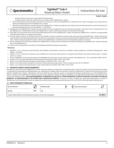

## Instructions for Use

Rotating Dilator Sheath

#### **English / English**

- Monitor all device maneuvers and activations by fluoroscopy.
- If needed, advance the outer sheath to the new position of the TightRail Sub-C sheath.
- e. If the traction device unlocks its grip on the lead, it is necessary to remove the TightRail Sub-C sheath and outer sheath, and apply a new traction device, before proceeding again with the TightRail Sub-C sheath.
- f. After the resistance has been relieved, advance the TightRail Sub-C sheath and optional outer sheath to the next desired location or point of resistance on the lead and repeat the process as described in 11 (a-d) above.
- 12. Withdrawal of the TightRail Sub-C sheath and outer sheath can be accomplished at any time during the procedure. If the lead is free, it should be drawn into the TightRail Sub-C sheath before the lead, the TightRail Sub-C sheath, and the outer sheath are removed from the body.
- 13. If the lead is not removed from the vessel with gentle pulling and use of the TightRail Sub-C sheath, exchange the TightRail Sub-C sheath for an appropriately sized full-length sheath to complete the extraction.
- 14. To retain venous access for re-implant, keep the outer sheath in place for guidewire insertion when removing lead and TightRail Sub-C sheath. Remove the outer sheath from the body after guidewire is inserted. If an outer sheath is not used, remove the lead through the TightRail Sub-C sheath, keeping the TightRail Sub-C sheath in place for guidewire insertion. Remove the TightRail Sub-C sheath device from the body after guidewire is inserted.
- 15. At the completion of the extraction, withdraw the TightRail Sub-C sheath and outer sheath from the patient and inspect the TightRail Sub-C sheath for damage prior to any additional use.
- 16. Dispose of the used products according to local biological handling and disposal procedures.

#### **References**

- 1. Wilkoff B.L., et al. Transvenous Lead Extraction: Heart Rhythm Society Expert Consensus on Facilities, Training, Indications, and Patient Management. Heart Rhythm. July 2009.
- 2. Deharo J.C., et al. Pathways for training and accreditation for transvenous lead extraction: a European Heart Rhythm Association position paper. Europace (2012) 14, 124-134
- 3. Verma A, Wilkoff BL. Intravascular pacemaker and defibrillator lead extraction: A state-of-the-art review. Heart Rhythm, Vol. 1, No. 6, December 2004; 739-745.
- 4. Smith HJ, et al. Five-years experience with intravascular lead extraction. PACE 1994; 17:2016-2020.
- 5. Byrd CL, et al. Lead extraction: indications and techniques. Cardiol Clin 1992: 10:735-748.
- 6. Byrd CL, et al. Intravascular techniques for extraction of permanent pacemaker leads. J Thorac Cardiovasc Surg 1991:101:989-997.
- 7. Byrd CL, et al. Intravascular lead extraction using Locking Stylets and sheaths. PACE 1990: 13:1871-1875.

#### **11. MANUFACTURER'S LIMITED WARRANTY**

Manufacturer warrants that the TightRail Sub-C sheath is free from defects in material and workmanship when used by the stated "Use By" date and when package is unopened and undamaged immediately before use. Manufacturer's liability under this warranty is limited to replacement or refund of the purchase price of any defective TightRail Sub-C sheath. Manufacturer will not be liable for any incidental, special, or consequential damages resulting from use of the TightRail Sub-C sheath. Damage to the TightRail Sub-C sheath caused by misuse, alteration, improper storage or handling, or any other failure to follow these Instructions for Use will void this limited warranty. THIS LIMITED WARRANTY IS EXPRESSLY IN LIEU OF ALL OTHER WARRANTIES, EXPRESS OR IMPLIED, INCLUDING THE IMPLIED **WARRANTY OF MERCHANTABILITY OR FITNESS FOR A PARTICULAR PURPOSE.** No person or entity, including any authorized representative or reseller of Manufacturer, has the authority to extend or expand this limited warranty and any purported attempt to do so will not be enforceable against Manufacturer.

#### **12. NON-STANDARD SYMBOLOGY**

| <b>Tip Inner Diameter</b>                                                                   | ۴          | <b>Working Length</b> |  |  | <b>Device Outer Diameter</b> |                |
|---------------------------------------------------------------------------------------------|------------|-----------------------|--|--|------------------------------|----------------|
| Quantity                                                                                    | <b>OTY</b> | <b>Size</b>           |  |  |                              |                |
| Caution: Federal (USA) law restricts this device to sale by or on the order of a physician. |            |                       |  |  |                              | <b>Rx ONLY</b> |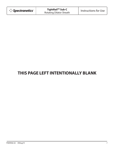# **THIS PAGE LEFT INTENTIONALLY BLANK**